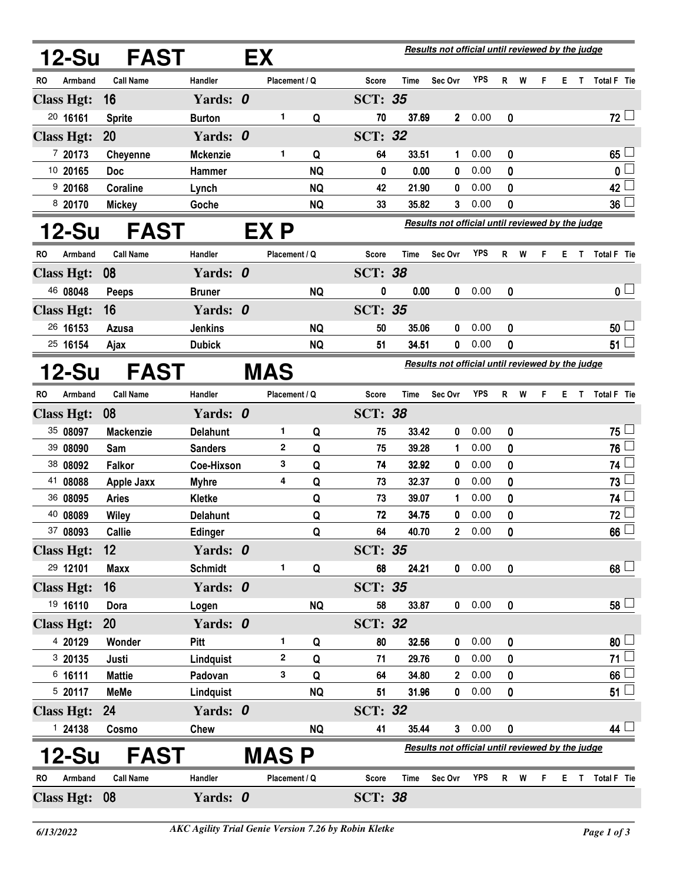| <b>12-Su</b>         | FAST             |                 | EX |                                                         |                                                  | Results not official until reviewed by the judge |             |                |            |                |   |   |    |     |                    |
|----------------------|------------------|-----------------|----|---------------------------------------------------------|--------------------------------------------------|--------------------------------------------------|-------------|----------------|------------|----------------|---|---|----|-----|--------------------|
| RO<br>Armband        | <b>Call Name</b> | Handler         |    | Placement / Q                                           |                                                  | <b>Score</b>                                     | Time        | Sec Ovr        | <b>YPS</b> | R              | W | F |    | ET. | Total F Tie        |
| <b>Class Hgt:</b>    | 16               | Yards: 0        |    |                                                         |                                                  | <b>SCT: 35</b>                                   |             |                |            |                |   |   |    |     |                    |
| 20 16161             | <b>Sprite</b>    | <b>Burton</b>   |    | 1                                                       | Q                                                | 70                                               | 37.69       | $\mathbf{2}^-$ | 0.00       | 0              |   |   |    |     | $72 -$             |
| <b>Class Hgt:</b>    | 20               | Yards: 0        |    |                                                         |                                                  | <b>SCT: 32</b>                                   |             |                |            |                |   |   |    |     |                    |
| 7 20173              | <b>Cheyenne</b>  | <b>Mckenzie</b> |    | 1                                                       | Q                                                | 64                                               | 33.51       | $\mathbf 1$    | 0.00       | 0              |   |   |    |     | 65                 |
| 10 20165             | <b>Doc</b>       | Hammer          |    |                                                         | <b>NQ</b>                                        | 0                                                | 0.00        | 0              | 0.00       | 0              |   |   |    |     | 0                  |
| 9 20168              | Coraline         | Lynch           |    |                                                         | <b>NQ</b>                                        | 42                                               | 21.90       | 0              | 0.00       | 0              |   |   |    |     | 42                 |
| 8 20170              | <b>Mickey</b>    | Goche           |    |                                                         | <b>NQ</b>                                        | 33                                               | 35.82       | 3              | 0.00       | 0              |   |   |    |     | 36                 |
| 12-Su                | <b>FAST</b>      |                 |    | EX P                                                    | Results not official until reviewed by the judge |                                                  |             |                |            |                |   |   |    |     |                    |
| RO<br>Armband        | <b>Call Name</b> | Handler         |    | Placement / Q                                           |                                                  | <b>Score</b>                                     | Time        | Sec Ovr        | <b>YPS</b> | $\mathsf{R}$   | W | F |    | E T | <b>Total F</b> Tie |
| <b>Class Hgt:</b>    | 08               | Yards: 0        |    |                                                         |                                                  | <b>SCT: 38</b>                                   |             |                |            |                |   |   |    |     |                    |
| 46 08048             | Peeps            | <b>Bruner</b>   |    |                                                         | <b>NQ</b>                                        | 0                                                | 0.00        | 0              | 0.00       | 0              |   |   |    |     | 0 <sup>1</sup>     |
| <b>Class Hgt:</b>    | 16               | Yards: 0        |    |                                                         |                                                  | <b>SCT: 35</b>                                   |             |                |            |                |   |   |    |     |                    |
| 26 16153             | Azusa            | <b>Jenkins</b>  |    |                                                         | <b>NQ</b>                                        | 50                                               | 35.06       | 0              | 0.00       | 0              |   |   |    |     | 50                 |
| 25 16154             | Ajax             | <b>Dubick</b>   |    |                                                         | <b>NQ</b>                                        | 51                                               | 34.51       | 0              | 0.00       | 0              |   |   |    |     | 51                 |
| 12-Su                | <b>FAST</b>      |                 |    | Results not official until reviewed by the judge<br>MAS |                                                  |                                                  |             |                |            |                |   |   |    |     |                    |
| Armband<br>RO        | <b>Call Name</b> | Handler         |    | Placement / Q                                           |                                                  | Score                                            | Time        | Sec Ovr        | <b>YPS</b> | R              | W | F |    | E T | Total F Tie        |
| <b>Class Hgt:</b>    | 08               | Yards: 0        |    |                                                         |                                                  | <b>SCT: 38</b>                                   |             |                |            |                |   |   |    |     |                    |
| 35 08097             | <b>Mackenzie</b> | <b>Delahunt</b> |    | 1                                                       | Q                                                | 75                                               | 33.42       | 0              | 0.00       | 0              |   |   |    |     | 75                 |
| 39 08090             | Sam              | <b>Sanders</b>  |    | 2                                                       | Q                                                | 75                                               | 39.28       | 1              | 0.00       | 0              |   |   |    |     | 76                 |
| 38 08092             | <b>Falkor</b>    | Coe-Hixson      |    | 3                                                       | Q                                                | 74                                               | 32.92       | 0              | 0.00       | 0              |   |   |    |     | 74                 |
| 41 08088             | Apple Jaxx       | <b>Myhre</b>    |    | 4                                                       | Q                                                | 73                                               | 32.37       | 0              | 0.00       | 0              |   |   |    |     | 73                 |
| 36 08095             | <b>Aries</b>     | <b>Kletke</b>   |    |                                                         | Q                                                | 73                                               | 39.07       | 1              | 0.00       | 0              |   |   |    |     | 74                 |
| 40 08089             | <b>Wiley</b>     | <b>Delahunt</b> |    |                                                         | Q                                                | 72                                               | 34.75       | 0              | 0.00       | 0              |   |   |    |     | 72                 |
| 37 08093             | <b>Callie</b>    | <b>Edinger</b>  |    |                                                         | Q                                                | 64                                               | 40.70       | 2              | 0.00       | 0              |   |   |    |     | 66                 |
| <b>Class Hgt:</b>    | 12               | Yards: 0        |    |                                                         |                                                  | <b>SCT: 35</b>                                   |             |                |            |                |   |   |    |     |                    |
| 29 12101             | <b>Maxx</b>      | <b>Schmidt</b>  |    | 1                                                       | Q                                                | 68                                               | 24.21       |                | 0.00       | 0              |   |   |    |     | 68                 |
| <b>Class Hgt:</b>    | 16               | Yards: 0        |    |                                                         |                                                  | <b>SCT: 35</b>                                   |             |                |            |                |   |   |    |     |                    |
| 19 16110             | Dora             | Logen           |    |                                                         | <b>NQ</b>                                        | 58                                               | 33.87       |                | 0.00       | 0              |   |   |    |     | $58 \Box$          |
| <b>Class Hgt:</b>    | <b>20</b>        | Yards: 0        |    |                                                         |                                                  | <b>SCT: 32</b>                                   |             |                |            |                |   |   |    |     |                    |
| 4 20129              | Wonder           | Pitt            |    | 1                                                       | Q                                                | 80                                               | 32.56       | 0              | 0.00       | 0              |   |   |    |     | $80+$              |
| 3 20135              | Justi            | Lindquist       |    | 2                                                       | Q                                                | 71                                               | 29.76       | 0              | 0.00       | 0              |   |   |    |     | $71 \Box$          |
| $6$ 16111            | <b>Mattie</b>    | Padovan         |    | 3                                                       | Q                                                | 64                                               | 34.80       | $\mathbf{2}$   | 0.00       | 0              |   |   |    |     | 66                 |
| 5 20117              | <b>MeMe</b>      | Lindquist       |    |                                                         | <b>NQ</b>                                        | 51                                               | 31.96       | 0              | 0.00       | 0              |   |   |    |     | 51 <sup>L</sup>    |
| <b>Class Hgt:</b>    | 24               | Yards: 0        |    |                                                         |                                                  | <b>SCT: 32</b>                                   |             |                |            |                |   |   |    |     |                    |
| 124138               | Cosmo            | Chew            |    |                                                         | <b>NQ</b>                                        | 41                                               | 35.44       |                | 30.00      | 0              |   |   |    |     | $44 \Box$          |
| 12-Su                | <b>FAST</b>      |                 |    | MAS P                                                   |                                                  | Results not official until reviewed by the judge |             |                |            |                |   |   |    |     |                    |
| Armband<br><b>RO</b> | <b>Call Name</b> | Handler         |    | Placement / Q                                           |                                                  | <b>Score</b>                                     | <b>Time</b> | Sec Ovr        | <b>YPS</b> | R <sub>a</sub> | W | F | Е. | T   | Total F Tie        |
| <b>Class Hgt:</b>    | 08               | Yards: 0        |    |                                                         |                                                  | <b>SCT: 38</b>                                   |             |                |            |                |   |   |    |     |                    |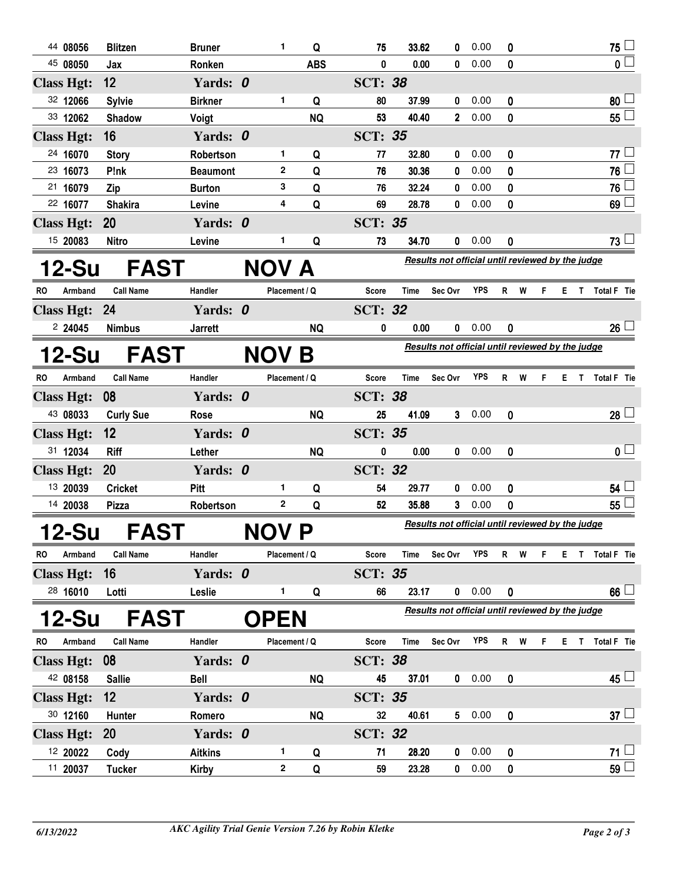|    | 44 08056          | <b>Blitzen</b>   | <b>Bruner</b>   | 1             | Q          | 75                                               | 33.62       | 0              | 0.00       | 0                |    |    |     | 75 <sup>1</sup>           |
|----|-------------------|------------------|-----------------|---------------|------------|--------------------------------------------------|-------------|----------------|------------|------------------|----|----|-----|---------------------------|
|    | 45 08050          | Jax              | Ronken          |               | <b>ABS</b> | 0                                                | 0.00        | 0              | 0.00       | 0                |    |    |     | $\overline{\mathfrak{o}}$ |
|    | <b>Class Hgt:</b> | 12               | Yards: 0        |               |            | <b>SCT: 38</b>                                   |             |                |            |                  |    |    |     |                           |
|    | 32 12066          | <b>Sylvie</b>    | <b>Birkner</b>  | 1             | Q          | 80                                               | 37.99       | 0              | 0.00       | 0                |    |    |     | $80\perp$                 |
|    | 33 12062          | <b>Shadow</b>    | Voigt           |               | <b>NQ</b>  | 53                                               | 40.40       | $\overline{2}$ | 0.00       | 0                |    |    |     | $55\Box$                  |
|    | <b>Class Hgt:</b> | 16               | Yards: 0        |               |            | <b>SCT: 35</b>                                   |             |                |            |                  |    |    |     |                           |
|    | 24 16070          | <b>Story</b>     | Robertson       | 1             | Q          | 77                                               | 32.80       | 0              | 0.00       | 0                |    |    |     | $77 -$                    |
|    | 23 16073          | P!nk             | <b>Beaumont</b> | $\mathbf{2}$  | Q          | 76                                               | 30.36       | 0              | 0.00       | 0                |    |    |     | 76 <sup>L</sup>           |
|    | 21 16079          | Zip              | <b>Burton</b>   | 3             | Q          | 76                                               | 32.24       | 0              | 0.00       | 0                |    |    |     | 76 $\lfloor$              |
|    | 22 16077          | <b>Shakira</b>   | Levine          | 4             | Q          | 69                                               | 28.78       | 0              | 0.00       | 0                |    |    |     | 69 <sup>1</sup>           |
|    | <b>Class Hgt:</b> | 20               | Yards: 0        |               |            | <b>SCT: 35</b>                                   |             |                |            |                  |    |    |     |                           |
|    | 15 20083          | <b>Nitro</b>     | Levine          | 1             | Q          | 73                                               | 34.70       | 0              | 0.00       | 0                |    |    |     | 73 L                      |
|    | 12-Su             | <b>FAST</b>      |                 | NOV A         |            | Results not official until reviewed by the judge |             |                |            |                  |    |    |     |                           |
| RO | Armband           | <b>Call Name</b> | Handler         | Placement / Q |            | Score                                            | Time        | Sec Ovr        | <b>YPS</b> | R W              | F. |    |     | E T Total F Tie           |
|    | <b>Class Hgt:</b> | 24               | Yards: 0        |               |            | <b>SCT: 32</b>                                   |             |                |            |                  |    |    |     |                           |
|    | 224045            | <b>Nimbus</b>    | <b>Jarrett</b>  |               | <b>NQ</b>  | 0                                                | 0.00        | 0              | 0.00       | 0                |    |    |     | 26 <sup>1</sup>           |
|    | 12-Su             | <b>FAST</b>      |                 | <b>NOV</b>    | Β          | Results not official until reviewed by the judge |             |                |            |                  |    |    |     |                           |
| RO | Armband           | <b>Call Name</b> | Handler         | Placement / Q |            | Score                                            | Time        | Sec Ovr        | <b>YPS</b> | R W              | F. |    | ET. | Total F Tie               |
|    | <b>Class Hgt:</b> | 08               | Yards: 0        |               |            | <b>SCT: 38</b>                                   |             |                |            |                  |    |    |     |                           |
|    | 43 08033          | <b>Curly Sue</b> | Rose            |               | <b>NQ</b>  | 25                                               | 41.09       | 3.             | 0.00       | 0                |    |    |     | $28 \Box$                 |
|    | <b>Class Hgt:</b> | 12               | Yards: 0        |               |            | <b>SCT: 35</b>                                   |             |                |            |                  |    |    |     |                           |
|    | 31 12034          | <b>Riff</b>      | Lether          |               | <b>NQ</b>  | 0                                                | 0.00        | $\mathbf 0$    | 0.00       | 0                |    |    |     | 0 <sub>1</sub>            |
|    | <b>Class Hgt:</b> | <b>20</b>        | Yards: 0        |               |            | <b>SCT: 32</b>                                   |             |                |            |                  |    |    |     |                           |
|    | 13 20039          | <b>Cricket</b>   | Pitt            | 1             | Q          | 54                                               | 29.77       | 0              | 0.00       | 0                |    |    |     | $54$ $-$                  |
|    | 14 20038          | Pizza            | Robertson       | 2             | Q          | 52                                               | 35.88       | 3              | 0.00       | 0                |    |    |     | 55 $\lfloor$              |
|    | 12-Su             | <b>FAST</b>      |                 | NOV P         |            | Results not official until reviewed by the judge |             |                |            |                  |    |    |     |                           |
| RO | Armband           | <b>Call Name</b> | Handler         | Placement / Q |            | <b>Score</b>                                     | <b>Time</b> | Sec Ovr        | <b>YPS</b> | R W              | F. |    |     | E T Total F Tie           |
|    | <b>Class Hgt:</b> | 16               | Yards: 0        |               |            | <b>SCT: 35</b>                                   |             |                |            |                  |    |    |     |                           |
|    | 28 16010          | Lotti            | Leslie          | 1.            | Q          | 66                                               | 23.17       |                | 0 0.00     | $\mathbf 0$      |    |    |     | $66$ $-$                  |
|    | 12-Su             | <b>FAST</b>      |                 | <b>OPEN</b>   |            | Results not official until reviewed by the judge |             |                |            |                  |    |    |     |                           |
| RO | Armband           | <b>Call Name</b> | Handler         | Placement / Q |            | <b>Score</b>                                     | <b>Time</b> | Sec Ovr        | <b>YPS</b> | R<br>W           | F  | E. | Т   | Total F Tie               |
|    | <b>Class Hgt:</b> | 08               | Yards: 0        |               |            | <b>SCT: 38</b>                                   |             |                |            |                  |    |    |     |                           |
|    | 42 08158          | <b>Sallie</b>    | <b>Bell</b>     |               | <b>NQ</b>  | 45                                               | 37.01       | $\mathbf{0}$   | 0.00       | $\boldsymbol{0}$ |    |    |     | $45 \Box$                 |
|    | <b>Class Hgt:</b> | 12               | Yards: 0        |               |            | <b>SCT: 35</b>                                   |             |                |            |                  |    |    |     |                           |
|    | 30 12160          | Hunter           | Romero          |               | <b>NQ</b>  | 32                                               | 40.61       | $5 -$          | 0.00       | 0                |    |    |     | $37 \Box$                 |
|    | <b>Class Hgt:</b> | <b>20</b>        | Yards: 0        |               |            | <b>SCT: 32</b>                                   |             |                |            |                  |    |    |     |                           |
|    | 12 20022          | Cody             | <b>Aitkins</b>  | 1             | Q          | 71                                               | 28.20       | 0              | 0.00       | 0                |    |    |     | 71 <sup>1</sup>           |
|    | 11 20037          | <b>Tucker</b>    | <b>Kirby</b>    | 2             | Q          | 59                                               | 23.28       | 0              | 0.00       | 0                |    |    |     | 59 <sup>1</sup>           |
|    |                   |                  |                 |               |            |                                                  |             |                |            |                  |    |    |     |                           |